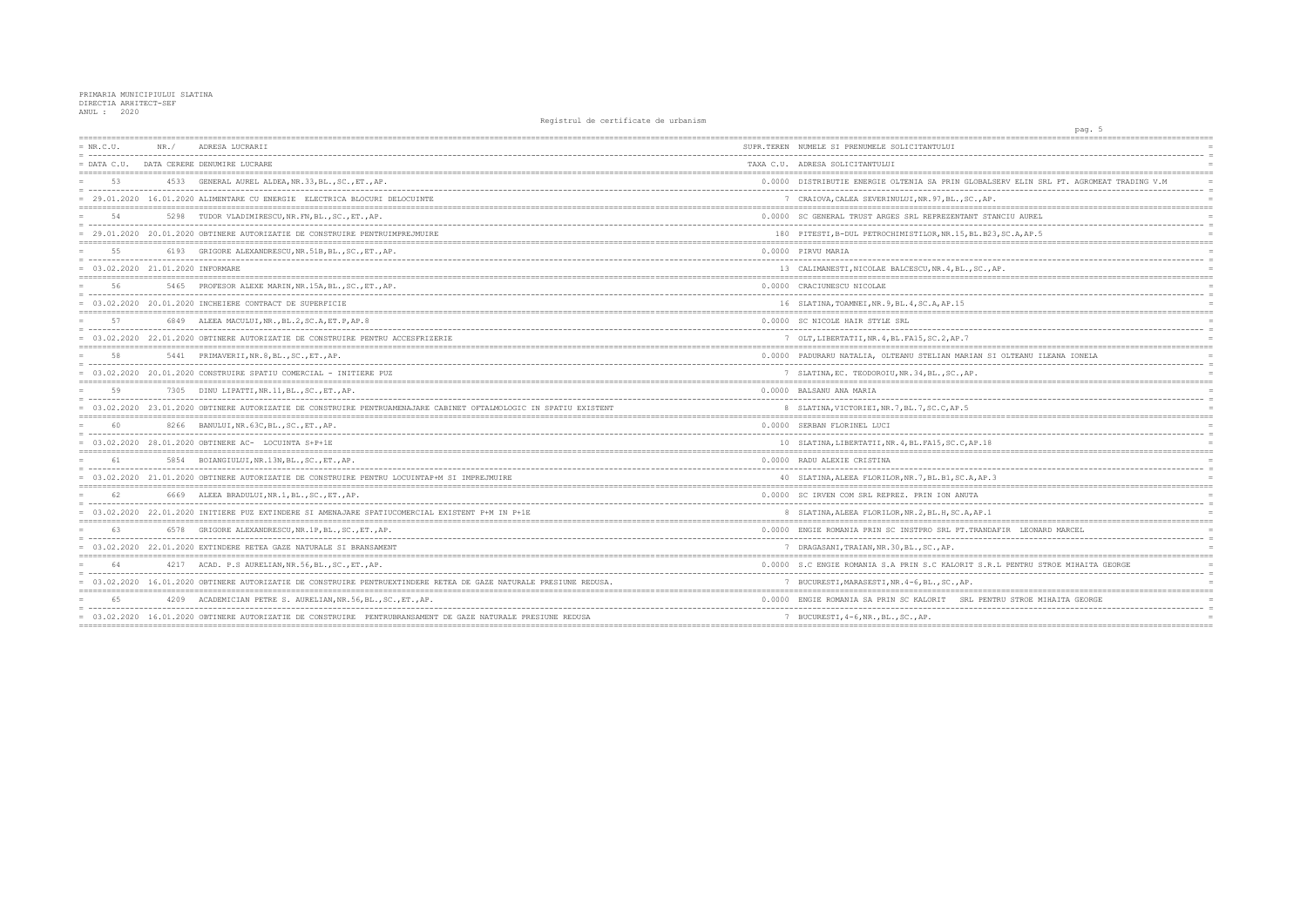| $= NR.C.U.$                         | NR. / | ADRESA LUCRARII                                                                                                    | SUPR.TEREN NUMELE SI PRENUMELE SOLICITANTULUI         |
|-------------------------------------|-------|--------------------------------------------------------------------------------------------------------------------|-------------------------------------------------------|
|                                     |       | = DATA C.U. DATA CERERE DENUMIRE LUCRARE                                                                           | TAXA C.U. ADRESA SOLICITANTULUI                       |
| 53                                  |       | 4533 GENERAL AUREL ALDEA, NR.33, BL., SC., ET., AP.                                                                | 0.0000 DISTRIBUTIE ENERGIE OLTENIA SA PRIN GLOBA      |
|                                     |       | = 29.01.2020 16.01.2020 ALIMENTARE CU ENERGIE ELECTRICA BLOCURI DELOCUINTE                                         | 7 CRAIOVA, CALEA SEVERINULUI, NR. 97, BL., SC., A     |
| 54                                  |       | 5298 TUDOR VLADIMIRESCU, NR. FN, BL., SC., ET., AP.                                                                | 0.0000 SC GENERAL TRUST ARGES SRL REPREZENTANT S      |
|                                     |       | = 29.01.2020 20.01.2020 OBTINERE AUTORIZATIE DE CONSTRUIRE PENTRUIMPREJMUIRE                                       | 180 PITESTI, B-DUL PETROCHIMISTILOR, NR.15, BL.E      |
|                                     |       | 6193 GRIGORE ALEXANDRESCU, NR.51B, BL., SC., ET., AP.                                                              | 0.0000 PIRVU MARIA                                    |
| $= 03.02.2020 21.01.2020$ INFORMARE |       |                                                                                                                    | 13 CALIMANESTI, NICOLAE BALCESCU, NR. 4, BL., SC.     |
| 56                                  |       | 5465 PROFESOR ALEXE MARIN, NR. 15A, BL., SC., ET., AP.                                                             | 0.0000 CRACIUNESCU NICOLAE                            |
|                                     |       | = 03.02.2020 20.01.2020 INCHEIERE CONTRACT DE SUPERFICIE                                                           | 16 SLATINA, TOAMNEI, NR. 9, BL. 4, SC. A, AP. 15      |
| 57                                  |       | 6849 ALEEA MACULUI, NR., BL.2, SC.A, ET.P, AP.8                                                                    | 0.0000 SC NICOLE HAIR STYLE SRL                       |
|                                     |       | = 03.02.2020 22.01.2020 OBTINERE AUTORIZATIE DE CONSTRUIRE PENTRU ACCESFRIZERIE                                    | 7 OLT, LIBERTATII, NR. 4, BL. FA15, SC. 2, AP. 7      |
|                                     |       | 5441 PRIMAVERII, NR. 8, BL., SC., ET., AP.                                                                         | 0.0000 PADURARU NATALIA, OLTEANU STELIAN MARIAN       |
|                                     |       | = 03.02.2020 20.01.2020 CONSTRUIRE SPATIU COMERCIAL - INITIERE PUZ                                                 | 7 SLATINA, EC. TEODOROIU, NR. 34, BL., SC., AP.       |
|                                     |       | 7305 DINU LIPATTI, NR.11, BL., SC., ET., AP.                                                                       | 0.0000 BALSANU ANA MARIA                              |
|                                     |       | = 03.02.2020 23.01.2020 OBTINERE AUTORIZATIE DE CONSTRUIRE PENTRUAMENAJARE CABINET OFTALMOLOGIC IN SPATIU EXISTENT | 8 SLATINA, VICTORIEI, NR. 7, BL. 7, SC. C, AP. 5      |
| 60                                  |       | 8266 BANULUI, NR. 63C, BL., SC., ET., AP.                                                                          | 0.0000 SERBAN FLORINEL LUCI                           |
|                                     |       | 03.02.2020 28.01.2020 OBTINERE AC- LOCUINTA S+P+1E                                                                 | 10 SLATINA, LIBERTATII, NR. 4, BL. FA15, SC. C, AP. 1 |
|                                     |       | 5854 BOIANGIULUI, NR.13N, BL., SC., ET., AP.                                                                       | 0.0000 RADU ALEXIE CRISTINA                           |
|                                     |       | = 03.02.2020 21.01.2020 OBTINERE AUTORIZATIE DE CONSTRUIRE PENTRU LOCUINTAP+M SI IMPREJMUIRE                       | 40 SLATINA, ALEEA FLORILOR, NR. 7, BL. B1, SC. A, AF  |
|                                     |       | 6669 ALEEA BRADULUI, NR. 1, BL., SC., ET., AP.                                                                     | 0.0000 SC IRVEN COM SRL REPREZ. PRIN ION ANUTA        |
|                                     |       | = 03.02.2020 22.01.2020 INITIERE PUZ EXTINDERE SI AMENAJARE SPATIUCOMERCIAL EXISTENT P+M IN P+1E                   | 8 SLATINA, ALEEA FLORILOR, NR. 2, BL. H, SC. A, AP.   |
| 63                                  |       | 6578 GRIGORE ALEXANDRESCU, NR.1P, BL., SC., ET., AP.                                                               | 0.0000 ENGIE ROMANIA PRIN SC INSTPRO SRL PT. TRAN     |
|                                     |       | 03.02.2020 22.01.2020 EXTINDERE RETEA GAZE NATURALE SI BRANSAMENT                                                  | 7 DRAGASANI, TRAIAN, NR. 30, BL., SC., AP.            |
|                                     |       | 4217 ACAD. P.S AURELIAN, NR. 56, BL., SC., ET., AP.                                                                | 0.0000 S.C ENGIE ROMANIA S.A PRIN S.C KALORIT S.      |
|                                     |       | = 03.02.2020 16.01.2020 OBTINERE AUTORIZATIE DE CONSTRUIRE PENTRUEXTINDERE RETEA DE GAZE NATURALE PRESIUNE REDUSA. | 7 BUCURESTI, MARASESTI, NR. 4-6, BL., SC., AP.        |
|                                     |       | 4209 ACADEMICIAN PETRE S. AURELIAN, NR. 56, BL., SC., ET., AP.                                                     | 0.0000 ENGIE ROMANIA SA PRIN SC KALORIT SRL PE        |
|                                     |       | = 03.02.2020 16.01.2020 OBTINERE AUTORIZATIE DE CONSTRUIRE PENTRUBRANSAMENT DE GAZE NATURALE PRESIUNE REDUSA       | 7 BUCURESTI, 4-6, NR., BL., SC., AP.                  |
|                                     |       |                                                                                                                    |                                                       |

| -5<br>pag.                                        |            |
|---------------------------------------------------|------------|
|                                                   |            |
|                                                   |            |
|                                                   |            |
| OBALSERV ELIN SRL PT. AGROMEAT TRADING V.M        | $=$        |
| _____________________________________<br>$.,$ AP. | $=$<br>$=$ |
|                                                   |            |
| T STANCIU AUREL<br>-------------                  | $=$<br>$=$ |
| L.B23,SC.A,AP.5                                   | $=$        |
|                                                   | $=$        |
|                                                   | $=$        |
| SC., AP.<br>$=$ $=$                               | $=$        |
|                                                   | $=$        |
|                                                   | $=$        |
|                                                   |            |
|                                                   | $=$        |
|                                                   | $=$        |
|                                                   |            |
| AN SI OLTEANU ILEANA IONELA                       | $=$        |
|                                                   | $=$        |
|                                                   | $=$        |
|                                                   | $=$        |
|                                                   | $=$        |
|                                                   |            |
|                                                   | $=$        |
| P.18                                              | $=$        |
|                                                   | $=$        |
| AP.3                                              | $=$        |
|                                                   |            |
| A                                                 | $=$<br>$=$ |
| AP.1                                              |            |
| RANDAFIR LEONARD MARCEL                           |            |
|                                                   | $=$        |
|                                                   | $=$        |
| S.R.L PENTRU STROE MIHAITA GEORGE                 | $=$        |
| .                                                 | $=$        |
|                                                   | $=$        |
| PENTRU STROE MIHAITA GEORGE                       | $=$        |
| .<br>.                                            | $=$<br>$=$ |
|                                                   |            |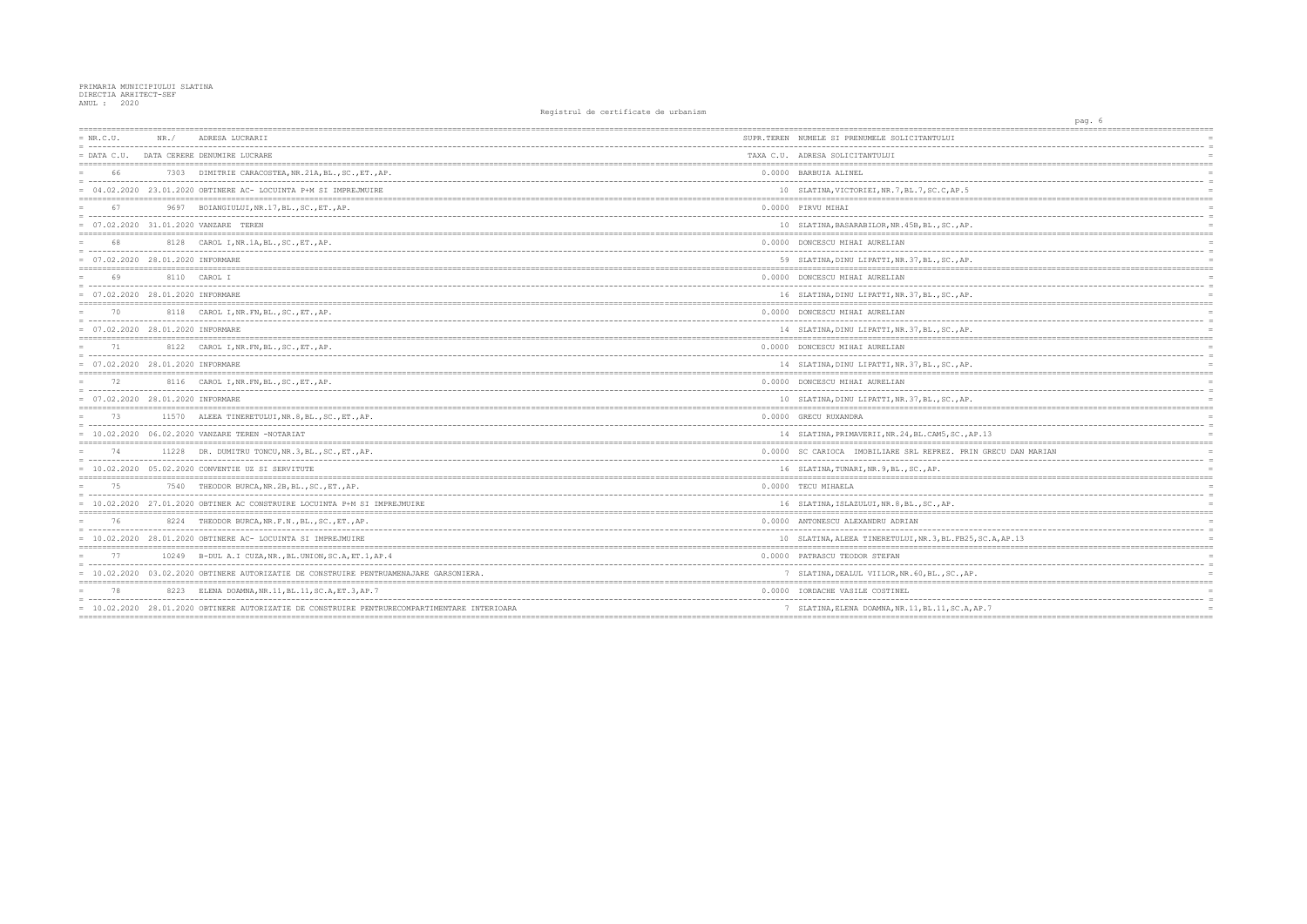| $= NR.C.U.$                         | NR. / | ADRESA LUCRARII                                                                               | SUPR.TEREN NUMELE SI PRENUMELE SOLICITANTULUI         |
|-------------------------------------|-------|-----------------------------------------------------------------------------------------------|-------------------------------------------------------|
| $=$ DATA C.U.                       |       | DATA CERERE DENUMIRE LUCRARE                                                                  | TAXA C.U. ADRESA SOLICITANTULUI                       |
| 66                                  |       | 7303 DIMITRIE CARACOSTEA, NR.21A, BL., SC., ET., AP.                                          | 0.0000 BARBUIA ALINEL                                 |
|                                     |       | = 04.02.2020 23.01.2020 OBTINERE AC- LOCUINTA P+M SI IMPREJMUIRE                              | 10 SLATINA, VICTORIEI, NR. 7, BL. 7, SC. C, AP. 5     |
| 67                                  |       | 9697 BOIANGIULUI, NR. 17, BL., SC., ET., AP.                                                  | 0.0000 PIRVU MIHAI                                    |
|                                     |       | = 07.02.2020 31.01.2020 VANZARE TEREN                                                         | 10 SLATINA, BASARABILOR, NR. 45B, BL., SC., AP.       |
| 68                                  |       | 8128 CAROL I, NR. 1A, BL., SC., ET., AP.                                                      | 0.0000 DONCESCU MIHAI AURELIAN                        |
| $= 07.02.2020 28.01.2020$ INFORMARE |       |                                                                                               | 59 SLATINA, DINU LIPATTI, NR. 37, BL., SC., AP.       |
| 69                                  |       | 8110 CAROL I                                                                                  | 0.0000 DONCESCU MIHAI AURELIAN                        |
| $= 07.02.2020 28.01.2020$ INFORMARE |       |                                                                                               | 16 SLATINA, DINU LIPATTI, NR. 37, BL., SC., AP.       |
| 70                                  |       | 8118 CAROL I, NR. FN, BL., SC., ET., AP.                                                      | 0.0000 DONCESCU MIHAI AURELIAN                        |
| 07.02.2020 28.01.2020 INFORMARE     |       |                                                                                               | 14 SLATINA, DINU LIPATTI, NR. 37, BL., SC., AP.       |
| 71                                  |       | 8122 CAROL I, NR. FN, BL., SC., ET., AP.                                                      | 0.0000 DONCESCU MIHAI AURELIAN                        |
| $= 07.02.2020 28.01.2020$ INFORMARE |       |                                                                                               | 14 SLATINA, DINU LIPATTI, NR. 37, BL., SC., AP.       |
|                                     |       | 8116 CAROL I, NR. FN, BL., SC., ET., AP.                                                      | 0.0000 DONCESCU MIHAI AURELIAN                        |
| $= 07.02.2020 28.01.2020$ INFORMARE |       |                                                                                               | 10 SLATINA, DINU LIPATTI, NR. 37, BL., SC., AP.       |
| 73                                  |       | 11570 ALEEA TINERETULUI, NR. 8, BL., SC., ET., AP.                                            | 0.0000 GRECU RUXANDRA                                 |
|                                     |       | $= 10.02.2020 06.02.2020$ VANZARE TEREN -NOTARIAT                                             | 14 SLATINA, PRIMAVERII, NR. 24, BL. CAM5, SC., AP. 13 |
| 74                                  |       | 11228 DR. DUMITRU TONCU, NR. 3, BL., SC., ET., AP.                                            | 0.0000 SC CARIOCA IMOBILIARE SRL REPREZ. PRIN GR      |
|                                     |       | $= 10.02.2020 05.02.2020$ CONVENTIE UZ SI SERVITUTE                                           | 16 SLATINA, TUNARI, NR. 9, BL., SC., AP.              |
|                                     |       | 7540 THEODOR BURCA, NR.2B, BL., SC., ET., AP.                                                 | 0.0000 TECU MIHAELA                                   |
|                                     |       | = 10.02.2020 27.01.2020 OBTINER AC CONSTRUIRE LOCUINTA P+M SI IMPREJMUIRE                     | 16 SLATINA, ISLAZULUI, NR. 8, BL., SC., AP.           |
| 76                                  |       | 8224 THEODOR BURCA, NR.F.N., BL., SC., ET., AP.                                               | 0.0000 ANTONESCU ALEXANDRU ADRIAN                     |
|                                     |       | $= 10.02.2020 28.01.2020$ OBTINERE AC-LOCUINTA SI IMPREJMUIRE                                 | 10 SLATINA, ALEEA TINERETULUI, NR. 3, BL. FB25, SC.   |
| 77                                  |       | 10249 B-DUL A.I CUZA, NR., BL. UNION, SC.A, ET.1, AP.4                                        | 0.0000 PATRASCU TEODOR STEFAN                         |
|                                     |       | = 10.02.2020 03.02.2020 OBTINERE AUTORIZATIE DE CONSTRUIRE PENTRUAMENAJARE GARSONIERA.        | 7 SLATINA, DEALUL VIILOR, NR. 60, BL., SC., AP.       |
| 78                                  |       | 8223 ELENA DOAMNA, NR.11, BL.11, SC.A, ET.3, AP.7                                             | 0.0000 IORDACHE VASILE COSTINEL                       |
|                                     |       | = 10.02.2020 28.01.2020 OBTINERE AUTORIZATIE DE CONSTRUIRE PENTRURECOMPARTIMENTARE INTERIOARA | 7 SLATINA, ELENA DOAMNA, NR. 11, BL. 11, SC. A, AP. 7 |
|                                     |       |                                                                                               |                                                       |

| pag. 6           |                                     |
|------------------|-------------------------------------|
|                  |                                     |
|                  | $\equiv$                            |
| =======          | $=$<br>------------                 |
|                  | $=$                                 |
|                  | $\equiv$<br>$=$                     |
|                  |                                     |
|                  |                                     |
|                  | $=$<br>$=$                          |
|                  |                                     |
|                  | $\equiv$                            |
|                  | $=$                                 |
|                  |                                     |
|                  | $=$                                 |
|                  | $\equiv$<br>$=$                     |
| ======           |                                     |
|                  | $=$                                 |
|                  | $\equiv$<br>$=$                     |
|                  |                                     |
|                  | $=$                                 |
|                  | $\equiv$                            |
|                  | $=$                                 |
|                  |                                     |
|                  | $=$                                 |
|                  | $\hspace*{0.4em} = \hspace*{0.4em}$ |
|                  | $=$                                 |
|                  | $=$                                 |
|                  | $\equiv$                            |
|                  |                                     |
| .13              | $=$                                 |
|                  |                                     |
| GRECU DAN MARIAN | $=$<br>$\equiv$                     |
|                  | $=$                                 |
| ======           | -----------------                   |
|                  | $=$                                 |
|                  | $\equiv$                            |
|                  | $=$                                 |
|                  |                                     |
|                  | $=$                                 |
|                  | $=$                                 |
| SC.A, AP.13      | $=$                                 |
|                  |                                     |
|                  | $=$                                 |
|                  | $=$                                 |
|                  |                                     |
|                  |                                     |
|                  | $=$                                 |
|                  | $=$                                 |
| <sup>2</sup> .7  | $=$                                 |
|                  |                                     |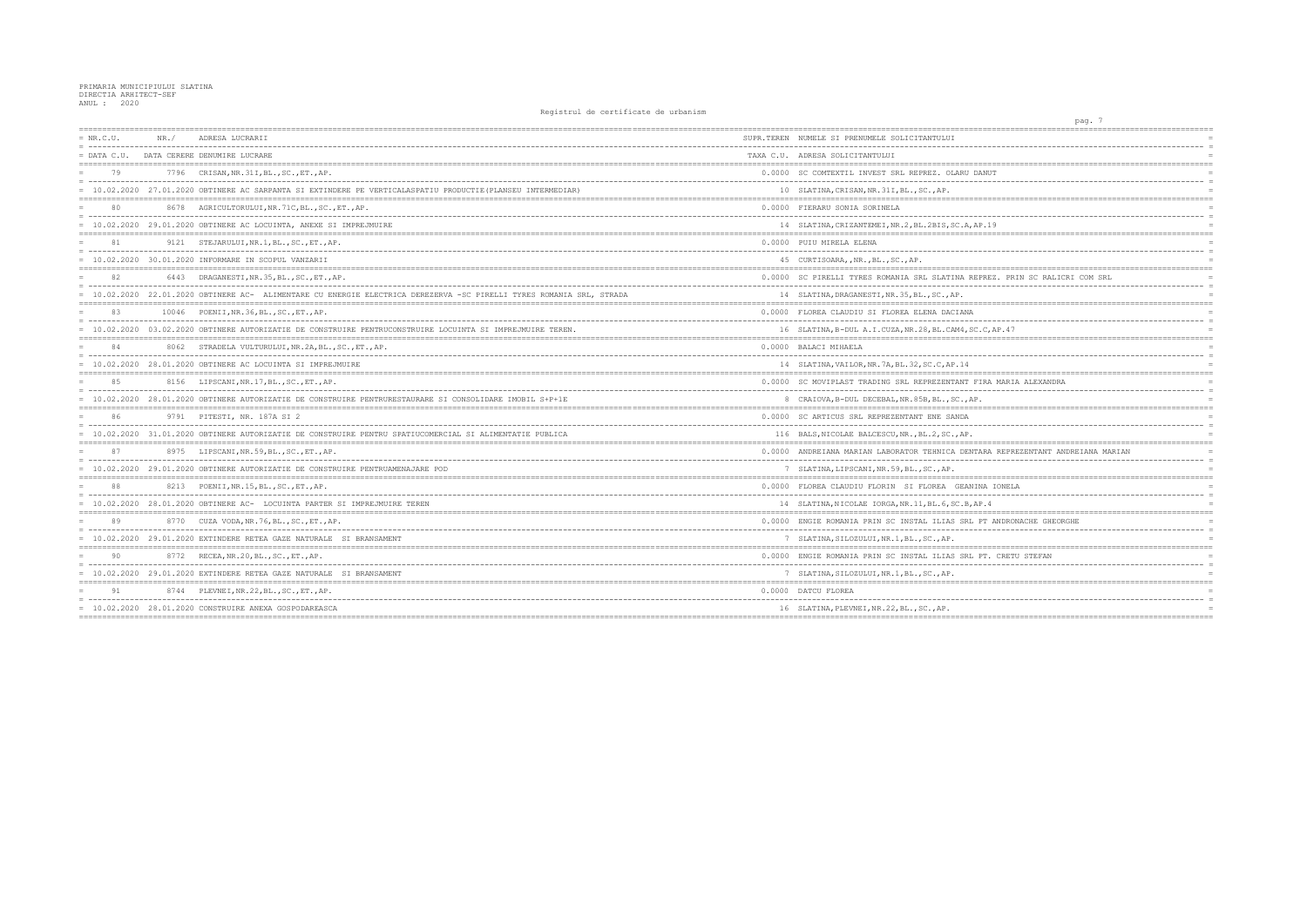| $= NR.C.U.$ | NR. / | ADRESA LUCRARII                                                                                                      | SUPR.TEREN NUMELE SI PRENUMELE SOLICITANTULUI        |
|-------------|-------|----------------------------------------------------------------------------------------------------------------------|------------------------------------------------------|
|             |       | = DATA C.U. DATA CERERE DENUMIRE LUCRARE                                                                             | TAXA C.U. ADRESA SOLICITANTULUI                      |
| 79          |       | 7796 CRISAN, NR. 31I, BL., SC., ET., AP.                                                                             | 0.0000 SC COMTEXTIL INVEST SRL REPREZ. OLARU DAN     |
|             |       | = 10.02.2020 27.01.2020 OBTINERE AC SARPANTA SI EXTINDERE PE VERTICALASPATIU PRODUCTIE (PLANSEU INTERMEDIAR)         | 10 SLATINA, CRISAN, NR. 31I, BL., SC., AP.           |
| 80          |       | 8678 AGRICULTORULUI, NR. 71C, BL., SC., ET., AP.                                                                     | 0.0000 FIERARU SONIA SORINELA                        |
|             |       | = 10.02.2020 29.01.2020 OBTINERE AC LOCUINTA, ANEXE SI IMPREJMUIRE                                                   | 14 SLATINA, CRIZANTEMEI, NR. 2, BL. 2BIS, SC. A, AP. |
|             |       | 9121 STEJARULUI, NR.1, BL., SC., ET., AP.                                                                            | 0.0000 PUIU MIRELA ELENA                             |
|             |       | $= 10.02.2020 30.01.2020$ INFORMARE IN SCOPUL VANZARII                                                               | 45 CURTISOARA, , NR., BL., SC., AP.                  |
|             |       | 6443 DRAGANESTI, NR. 35, BL., SC., ET., AP.                                                                          | 0.0000 SC PIRELLI TYRES ROMANIA SRL SLATINA REPF     |
|             |       | = 10.02.2020 22.01.2020 OBTINERE AC- ALIMENTARE CU ENERGIE ELECTRICA DEREZERVA -SC PIRELLI TYRES ROMANIA SRL, STRADA | 14 SLATINA, DRAGANESTI, NR. 35, BL., SC., AP.        |
| 83          |       | 10046 POENII, NR. 36, BL., SC., ET., AP.                                                                             | 0.0000 FLOREA CLAUDIU SI FLOREA ELENA DACIANA        |
|             |       | = 10.02.2020 03.02.2020 OBTINERE AUTORIZATIE DE CONSTRUIRE PENTRUCONSTRUIRE LOCUINTA SI IMPREJMUIRE TEREN.           | 16 SLATINA, B-DUL A.I.CUZA, NR. 28, BL. CAM4, SC. O  |
| 84          |       | 8062 STRADELA VULTURULUI, NR.2A, BL., SC., ET., AP.                                                                  | 0.0000 BALACI MIHAELA                                |
|             |       | $= 10.02.2020$ 28.01.2020 OBTINERE AC LOCUINTA SI IMPREJMUIRE                                                        | 14 SLATINA, VAILOR, NR. 7A, BL. 32, SC.C, AP. 14     |
| 85          |       | 8156 LIPSCANI, NR. 17, BL., SC., ET., AP.                                                                            | 0.0000 SC MOVIPLAST TRADING SRL REPREZENTANT FIF     |
|             |       | = 10.02.2020 28.01.2020 OBTINERE AUTORIZATIE DE CONSTRUIRE PENTRURESTAURARE SI CONSOLIDARE IMOBIL S+P+1E             | 8 CRAIOVA, B-DUL DECEBAL, NR. 85B, BL., SC., AP.     |
| 86          |       | 9791 PITESTI, NR. 187A SI 2                                                                                          | 0.0000 SC ARTICUS SRL REPREZENTANT ENE SANDA         |
|             |       | = 10.02.2020 31.01.2020 OBTINERE AUTORIZATIE DE CONSTRUIRE PENTRU SPATIUCOMERCIAL SI ALIMENTATIE PUBLICA             | 116 BALS, NICOLAE BALCESCU, NR., BL.2, SC., AP.      |
| 87          |       | 8975 LIPSCANI, NR. 59, BL., SC., ET., AP.                                                                            | 0.0000 ANDREIANA MARIAN LABORATOR TEHNICA DENTAF     |
|             |       | = 10.02.2020 29.01.2020 OBTINERE AUTORIZATIE DE CONSTRUIRE PENTRUAMENAJARE POD                                       | 7 SLATINA, LIPSCANI, NR. 59, BL., SC., AP.           |
| 88          |       | 8213 POENII, NR. 15, BL., SC., ET., AP.                                                                              | 0.0000 FLOREA CLAUDIU FLORIN SI FLOREA GEANINA       |
|             |       | = 10.02.2020 28.01.2020 OBTINERE AC- LOCUINTA PARTER SI IMPREJMUIRE TEREN                                            | 14 SLATINA, NICOLAE IORGA, NR.11, BL.6, SC.B, AP.    |
| 89          |       | 8770 CUZA VODA, NR. 76, BL., SC., ET., AP.                                                                           | 0.0000 ENGIE ROMANIA PRIN SC INSTAL ILIAS SRL PT     |
|             |       | = 10.02.2020 29.01.2020 EXTINDERE RETEA GAZE NATURALE SI BRANSAMENT                                                  | 7 SLATINA, SILOZULUI, NR.1, BL., SC., AP.            |
| 90          |       | 8772 RECEA, NR. 20, BL., SC., ET., AP.                                                                               | 0.0000 ENGIE ROMANIA PRIN SC INSTAL ILIAS SRL PT     |
|             |       | = 10.02.2020 29.01.2020 EXTINDERE RETEA GAZE NATURALE SI BRANSAMENT                                                  | 7 SLATINA, SILOZULUI, NR.1, BL., SC., AP.            |
| 91          |       | 8744 PLEVNEI, NR. 22, BL., SC., ET., AP.                                                                             | 0.0000 DATCU FLOREA                                  |
|             |       | $= 10.02.2020 28.01.2020$ CONSTRUIRE ANEXA GOSPODAREASCA                                                             | 16 SLATINA, PLEVNEI, NR. 22, BL., SC., AP.           |
|             |       |                                                                                                                      |                                                      |

| pag. 7                                       |            |
|----------------------------------------------|------------|
| ================                             |            |
|                                              | $=$        |
|                                              |            |
|                                              | $=$        |
| NUT                                          |            |
|                                              | $=$        |
|                                              | $=$        |
|                                              | $=$        |
|                                              | $=$        |
| .19                                          | $=$        |
| -----------                                  |            |
|                                              | $=$        |
|                                              | $=$        |
|                                              |            |
| REZ. PRIN SC RALICRI COM SRL                 | $=$        |
|                                              | $\equiv$   |
|                                              | $=$        |
|                                              |            |
|                                              | $=$        |
|                                              | $\equiv$   |
| $C$ , AP. 47                                 | $=$<br>$=$ |
|                                              | $=$        |
|                                              | $=$        |
|                                              |            |
|                                              | $=$        |
| RA MARIA ALEXANDRA                           | $=$<br>$=$ |
|                                              | $=$        |
| =========<br>------------------------------- |            |
|                                              |            |
|                                              |            |
|                                              | $=$        |
|                                              | $=$        |
| RA REPREZENTANT ANDREIANA MARIAN             | $=$        |
|                                              |            |
|                                              |            |
| A IONELA                                     |            |
|                                              | $\equiv$   |
| 4.                                           | $=$        |
| 'T ANDRONACHE GHEORGHE                       | $=$        |
|                                              | $=$        |
|                                              | $=$        |
|                                              |            |
| T. CRETU STEFAN                              |            |
|                                              | $=$        |
|                                              |            |
|                                              | $=$        |
|                                              | $=$        |
|                                              | $=$        |
| ;===========                                 |            |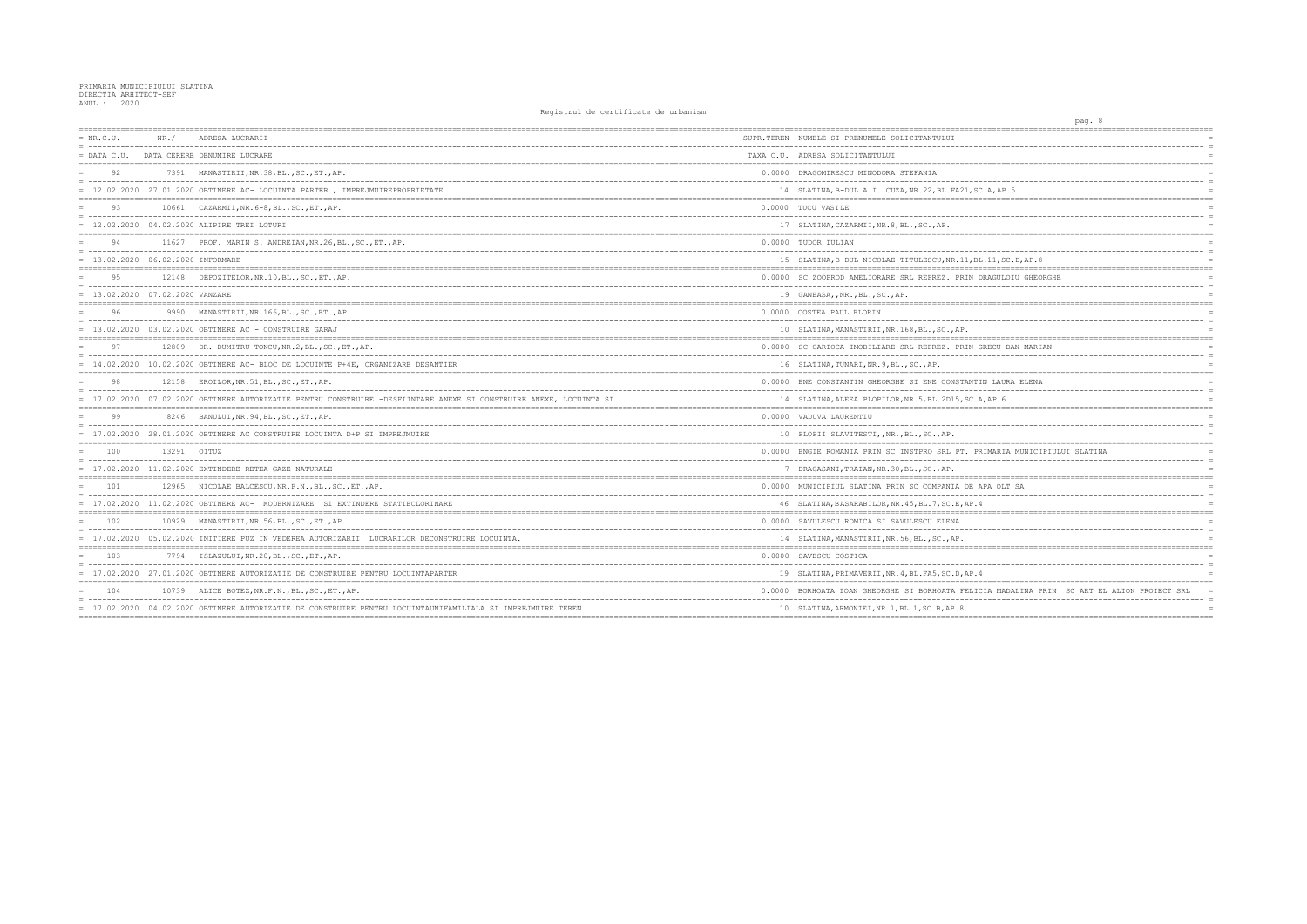| $= NR.C.U.$                         | NR. /       | ADRESA LUCRARII                                                                                                    | SUPR.TEREN NUMELE SI PRENUMELE SOLICITANTULUI        |
|-------------------------------------|-------------|--------------------------------------------------------------------------------------------------------------------|------------------------------------------------------|
|                                     |             | = DATA C.U. DATA CERERE DENUMIRE LUCRARE                                                                           | TAXA C.U. ADRESA SOLICITANTULUI                      |
| 92                                  |             | 7391 MANASTIRII, NR.38, BL., SC., ET., AP.                                                                         | 0.0000 DRAGOMIRESCU MINODORA STEFANIA                |
|                                     |             | = 12.02.2020 27.01.2020 OBTINERE AC- LOCUINTA PARTER, IMPREJMUIREPROPRIETATE                                       | 14 SLATINA, B-DUL A.I. CUZA, NR.22, BL. FA21, SC.    |
| 93                                  |             | 10661 CAZARMII, NR. 6-8, BL., SC., ET., AP.                                                                        | 0.0000 TUCU VASILE                                   |
|                                     |             | $= 12.02.2020 04.02.2020$ ALIPIRE TREI LOTURI                                                                      | 17 SLATINA, CAZARMII, NR. 8, BL., SC., AP.           |
| 94                                  |             | 11627 PROF. MARIN S. ANDREIAN, NR. 26, BL., SC., ET., AP.                                                          | 0.0000 TUDOR IULIAN                                  |
| $= 13.02.2020 06.02.2020$ INFORMARE |             |                                                                                                                    | 15 SLATINA, B-DUL NICOLAE TITULESCU, NR. 11, BL.     |
|                                     |             | 12148 DEPOZITELOR, NR.10, BL., SC., ET., AP.                                                                       | 0.0000 SC ZOOPROD AMELIORARE SRL REPREZ. PRIN DF     |
| $= 13.02.2020 07.02.2020 VANZARE$   |             |                                                                                                                    | 19 GANEASA, , NR., BL., SC., AP.                     |
| 96                                  |             | 9990 MANASTIRII, NR.166, BL., SC., ET., AP.                                                                        | 0.0000 COSTEA PAUL FLORIN                            |
|                                     |             | = 13.02.2020 03.02.2020 OBTINERE AC - CONSTRUIRE GARAJ                                                             | 10 SLATINA, MANASTIRII, NR. 168, BL., SC., AP.       |
| 97                                  |             | 12809 DR. DUMITRU TONCU, NR.2, BL., SC., ET., AP.                                                                  | 0.0000 SC CARIOCA IMOBILIARE SRL REPREZ. PRIN GF     |
|                                     |             | = 14.02.2020 10.02.2020 OBTINERE AC- BLOC DE LOCUINTE P+4E, ORGANIZARE DESANTIER                                   | 16 SLATINA, TUNARI, NR. 9, BL., SC., AP.             |
| 98                                  |             | 12158 EROILOR, NR.51, BL., SC., ET., AP.                                                                           | 0.0000 ENE CONSTANTIN GHEORGHE SI ENE CONSTANTIN     |
|                                     |             | = 17.02.2020 07.02.2020 OBTINERE AUTORIZATIE PENTRU CONSTRUIRE -DESFIINTARE ANEXE SI CONSTRUIRE ANEXE, LOCUINTA SI | 14 SLATINA, ALEEA PLOPILOR, NR. 5, BL. 2D15, SC. A,  |
| 99                                  |             | 8246 BANULUI, NR. 94, BL., SC., ET., AP.                                                                           | 0.0000 VADUVA LAURENTIU                              |
|                                     |             | = 17.02.2020 28.01.2020 OBTINERE AC CONSTRUIRE LOCUINTA D+P SI IMPREJMUIRE                                         | 10 PLOPII SLAVITESTI,, NR., BL., SC., AP.            |
| 100                                 | 13291 OITUZ |                                                                                                                    | 0.0000 ENGIE ROMANIA PRIN SC INSTPRO SRL PT. PRI     |
|                                     |             | $= 17.02.2020$ $11.02.2020$ EXTINDERE RETEA GAZE NATURALE                                                          | 7 DRAGASANI, TRAIAN, NR. 30, BL., SC., AP.           |
| 101                                 |             | 12965 NICOLAE BALCESCU, NR.F.N., BL., SC., ET., AP.                                                                | 0.0000 MUNICIPIUL SLATINA PRIN SC COMPANIA DE AE     |
|                                     |             | = 17.02.2020 11.02.2020 OBTINERE AC- MODERNIZARE SI EXTINDERE STATIECLORINARE                                      | 46 SLATINA, BASARABILOR, NR. 45, BL. 7, SC. E, AP. 4 |
| 102                                 |             | 10929 MANASTIRII, NR.56, BL., SC., ET., AP.                                                                        | 0.0000 SAVULESCU ROMICA SI SAVULESCU ELENA           |
|                                     |             | = 17.02.2020 05.02.2020 INITIERE PUZ IN VEDEREA AUTORIZARII LUCRARILOR DECONSTRUIRE LOCUINTA.                      | 14 SLATINA, MANASTIRII, NR. 56, BL., SC., AP.        |
| 103                                 |             | 7794 ISLAZULUI, NR.20, BL., SC., ET., AP.                                                                          | 0.0000 SAVESCU COSTICA                               |
|                                     |             | = 17.02.2020 27.01.2020 OBTINERE AUTORIZATIE DE CONSTRUIRE PENTRU LOCUINTAPARTER                                   | 19 SLATINA, PRIMAVERII, NR. 4, BL. FA5, SC. D, AP. 4 |
| 104                                 |             | 10739 ALICE BOTEZ, NR.F.N., BL., SC., ET., AP.                                                                     | 0.0000 BORHOATA IOAN GHEORGHE SI BORHOATA FELICI     |
|                                     |             | = 17.02.2020 04.02.2020 OBTINERE AUTORIZATIE DE CONSTRUIRE PENTRU LOCUINTAUNIFAMILIALA SI IMPREJMUIRE TEREN        | 10 SLATINA, ARMONIEI, NR. 1, BL. 1, SC. B, AP. 8     |
|                                     |             |                                                                                                                    |                                                      |

|                             | pag. 8 |  |                             |             |            |
|-----------------------------|--------|--|-----------------------------|-------------|------------|
| ==========                  |        |  |                             |             |            |
|                             |        |  |                             |             | $=$        |
|                             |        |  |                             |             | $=$        |
|                             |        |  |                             |             |            |
|                             |        |  |                             |             | $=$        |
|                             |        |  |                             |             | $=$<br>$=$ |
| A, AP.5<br>-----------      |        |  |                             |             | $=$        |
|                             |        |  |                             |             | $=$        |
|                             |        |  |                             |             | $=$        |
|                             |        |  |                             |             | $=$        |
| =========                   |        |  |                             |             | $=$        |
| ----------------            |        |  |                             |             | $=$        |
| 11, SC.D, AP.8              |        |  |                             |             | $=$        |
|                             |        |  |                             |             | $=$ $=$    |
| RAGULOIU GHEORGHE           |        |  |                             |             | $=$        |
|                             |        |  |                             |             |            |
|                             |        |  |                             | ====        |            |
|                             |        |  |                             |             | $=$        |
|                             |        |  |                             |             |            |
|                             |        |  |                             |             | $=$        |
| RECU DAN MARIAN             |        |  |                             |             | $=$        |
|                             |        |  |                             |             | $=$        |
|                             |        |  |                             |             | $=$        |
|                             |        |  |                             |             | $=$        |
| N LAURA ELENA<br>$---$      |        |  |                             |             | $=$        |
| ., AP.6                     |        |  |                             |             | $=$        |
|                             |        |  |                             |             |            |
|                             |        |  |                             |             | $=$        |
|                             |        |  |                             |             |            |
|                             |        |  |                             | $===$       | $=$        |
| IMARIA MUNICIPIULUI SLATINA |        |  |                             |             | $=$        |
|                             |        |  |                             |             | $\equiv$   |
|                             |        |  |                             |             |            |
|                             |        |  |                             |             | $=$        |
| PA OLT SA                   |        |  |                             |             | $=$        |
|                             |        |  |                             |             | $=$        |
| =========                   |        |  |                             | $=$ $=$ $=$ |            |
|                             |        |  |                             |             |            |
|                             |        |  |                             |             | $=$        |
|                             |        |  |                             |             | $=$        |
|                             |        |  |                             |             |            |
|                             |        |  |                             |             | $=$        |
|                             |        |  |                             |             | $=$        |
|                             |        |  |                             |             |            |
|                             |        |  |                             |             | $=$<br>$=$ |
| IA MADALINA PRIN            |        |  | SC ART EL ALION PROIECT SRL |             | $=$        |
|                             |        |  |                             |             | $=$        |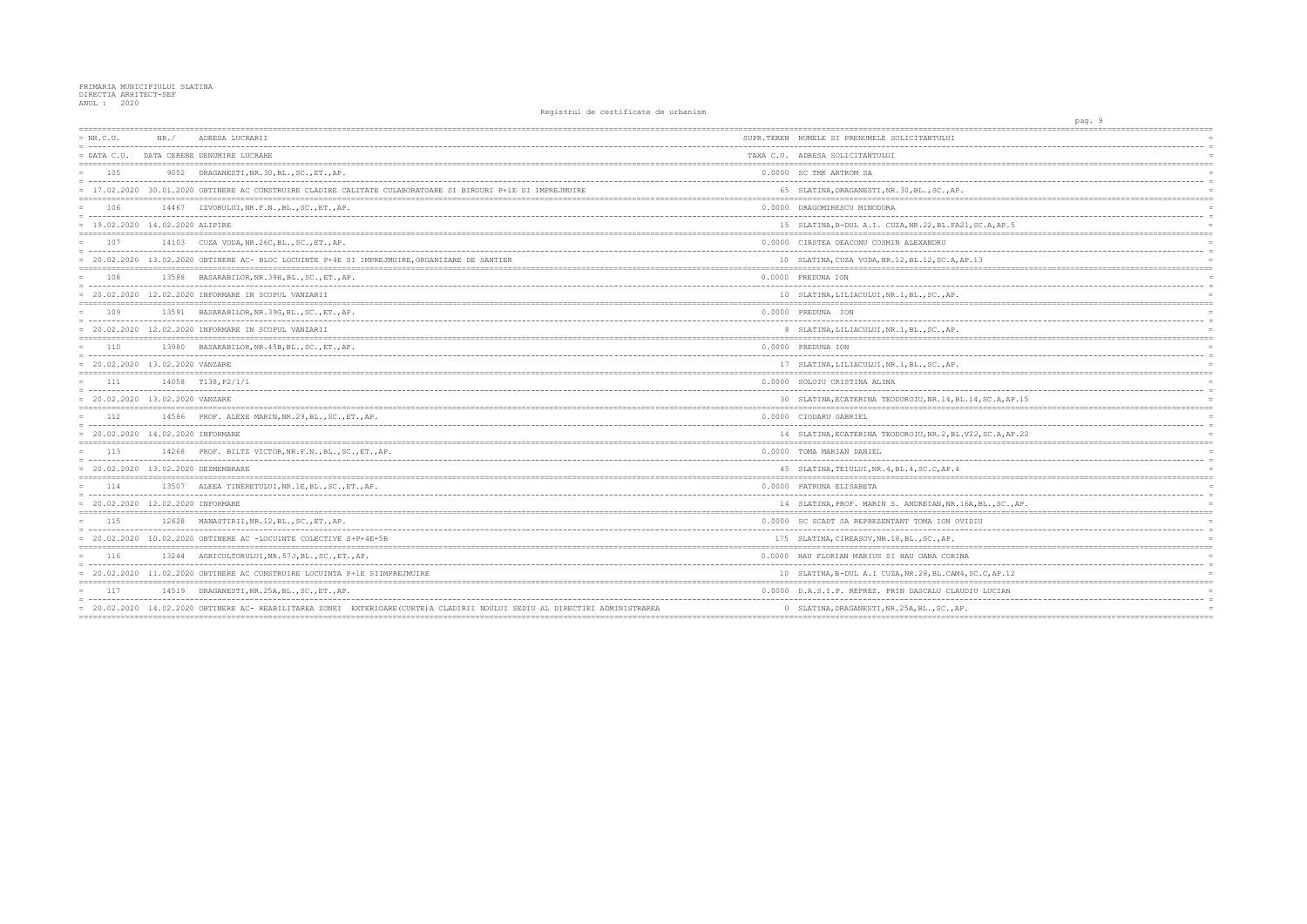| $= NR.C.U.$                          | NR.   | ADRESA LUCRARII                                                                                                               | SUPR.TEREN NUMELE SI PRENUMELE SOLICITANTULUI        |
|--------------------------------------|-------|-------------------------------------------------------------------------------------------------------------------------------|------------------------------------------------------|
| $=$ DATA C.U.                        |       | DATA CERERE DENUMIRE LUCRARE                                                                                                  | TAXA C.U. ADRESA SOLICITANTULUI                      |
| 105                                  |       | 9052 DRAGANESTI, NR. 30, BL., SC., ET., AP.                                                                                   | 0.0000 SC TMK ARTROM SA                              |
|                                      |       | = 17.02.2020 30.01.2020 OBTINERE AC CONSTRUIRE CLADIRE CALITATE CULABORATOARE SI BIROURI P+1E SI IMPREJMUIRE                  | 65 SLATINA, DRAGANESTI, NR. 30, BL., SC., AP.        |
| 106                                  |       | 14467 IZVORULUI, NR.F.N., BL., SC., ET., AP.                                                                                  | 0.0000 DRAGOMIRESCU MINODORA                         |
| $= 19.02, 2020, 14.02, 2020$ ALIPIRE |       |                                                                                                                               | 15 SLATINA, B-DUL A.I. CUZA, NR.22, BL. FA21, SC.A   |
| 107                                  |       | 14103 CUZA VODA, NR. 26C, BL., SC., ET., AP.                                                                                  | 0.0000 CIRSTEA DEACONU COSMIN ALEXANDRU              |
|                                      |       | = 20.02.2020 13.02.2020 OBTINERE AC- BLOC LOCUINTE P+4E SI IMPREJMUIRE, ORGANIZARE DE SANTIER                                 | 10 SLATINA, CUZA VODA, NR. 12, BL. 12, SC. A, AP. 13 |
| 108                                  |       | 13588 BASARABILOR, NR. 39H, BL., SC., ET., AP.                                                                                | 0.0000 PREDUNA ION                                   |
|                                      |       | $= 20.02.2020$ 12.02.2020 INFORMARE IN SCOPUL VANZARII                                                                        | 10 SLATINA, LILIACULUI, NR. 1, BL., SC., AP.         |
| 109                                  |       | 13591 BASARABILOR, NR. 39G, BL., SC., ET., AP.                                                                                | 0.0000 PREDUNA ION                                   |
|                                      |       | = 20.02.2020 12.02.2020 INFORMARE IN SCOPUL VANZARII                                                                          | 8 SLATINA, LILIACULUI, NR. 1, BL., SC., AP.          |
| 110                                  |       | 13980 BASARABILOR, NR. 45B, BL., SC., ET., AP.                                                                                | 0.0000 PREDUNA ION                                   |
| $= 20.02.2020 13.02.2020 VANZARE$    |       |                                                                                                                               | 17 SLATINA, LILIACULUI, NR. 1, BL., SC., AP.         |
| 111                                  |       | 14058 T138.P2/1/1                                                                                                             | 0.0000 SOLOIU CRISTINA ALINA                         |
| $= 20.02.2020 13.02.2020 VANZARE$    |       |                                                                                                                               | 30 SLATINA, ECATERINA TEODOROIU, NR. 14, BL. 14, SC  |
| 112                                  |       | 14586 PROF. ALEXE MARIN, NR.29, BL., SC., ET., AP.                                                                            | 0.0000 CIODARU GABRIEL                               |
| $= 20.02.2020 14.02.2020$ INFORMARE  |       |                                                                                                                               | 14 SLATINA, ECATERINA TEODOROIU, NR. 2, BL. V22, SC  |
| 113                                  |       | 14268 PROF. BILTZ VICTOR, NR.F.N., BL., SC., ET., AP.                                                                         | 0.0000 TOMA MARIAN DANIEL                            |
| = 20.02.2020 13.02.2020 DEZMEMBRARE  |       |                                                                                                                               | 45 SLATINA, TEIULUI, NR. 4, BL. 4, SC. C, AP. 4      |
| 114                                  |       | 13507 ALEEA TINERETULUI, NR. 1E, BL., SC., ET., AP.                                                                           | 0.0000 PATRUNA ELISABETA                             |
| = 20.02.2020 12.02.2020 INFORMARE    |       |                                                                                                                               | 14 SLATINA, PROF. MARIN S. ANDREIAN, NR. 16A, BL.    |
| 115                                  |       | 12628 MANASTIRII, NR.12, BL., SC., ET., AP.                                                                                   | 0.0000 SC SCADT SA REPREZENTANT TOMA ION OVIDIU      |
|                                      |       | $= 20.02.2020$ 10.02.2020 OBTINERE AC -LOCUINTE COLECTIVE S+P+4E+5R                                                           | 175 SLATINA, CIREASOV, NR. 18, BL., SC., AP.         |
| 116                                  |       | 13244 AGRICULTORULUI, NR. 57J, BL., SC., ET., AP.                                                                             | 0.0000 HAU FLORIAN MARIUS SI HAU OANA CORINA         |
|                                      |       | = 20.02.2020 11.02.2020 OBTINERE AC CONSTRUIRE LOCUINTA P+1E SIIMPREJMUIRE                                                    | 10 SLATINA, B-DUL A.I CUZA, NR. 28, BL. CAM4, SC. C, |
| 117                                  | 14519 | DRAGANESTI, NR. 25A, BL., SC., ET., AP.                                                                                       | 0.0000 D.A.S.I.P. REPREZ. PRIN DASCALU CLAUDIU LU    |
|                                      |       | = 20.02.2020 14.02.2020 OBTINERE AC- REABILITAREA ZONEI EXTERIOARE (CURTE) A CLADIRII NOULUI SEDIU AL DIRECTIEI ADMINISTRAREA | 0 SLATINA, DRAGANESTI, NR. 25A, BL., SC., AP.        |

| pag. 9                                         |                               |
|------------------------------------------------|-------------------------------|
| =========                                      | =========                     |
|                                                |                               |
|                                                |                               |
|                                                |                               |
|                                                |                               |
|                                                |                               |
|                                                | <b>======</b><br>$=$          |
|                                                |                               |
| , SC.A, AP.5                                   | $\equiv$<br>$=$               |
| .==============                                |                               |
|                                                |                               |
|                                                | $\equiv$                      |
| .13<br>=============<br>---------------------- | <b>:======</b>                |
|                                                | $\equiv$                      |
|                                                | $\equiv$                      |
|                                                | $=$                           |
| :======                                        | $=$                           |
|                                                | $\equiv$                      |
|                                                |                               |
|                                                |                               |
|                                                |                               |
|                                                |                               |
| ========                                       | --------                      |
|                                                |                               |
| --------                                       | $\equiv$                      |
| 14, SC.A, AP.15<br>.___________________        | $=$                           |
|                                                | $=$                           |
| . <u>.</u> .                                   |                               |
| 722, SC.A, AP.22                               |                               |
| ;=================                             | -------------------<br>====== |
|                                                | $\equiv$                      |
|                                                |                               |
|                                                |                               |
|                                                | $\equiv$                      |
| A, BL., SC., AP.                               |                               |
|                                                | =====                         |
| DIU:                                           |                               |
|                                                | $\equiv$                      |
| $== == =$                                      |                               |
|                                                | $=$                           |
|                                                | $\equiv$                      |
| SC.C, AP.12                                    | $=$<br>=====================  |
| ;====================<br>DIU LUCIAN            |                               |
|                                                | $\equiv$                      |
|                                                |                               |
|                                                |                               |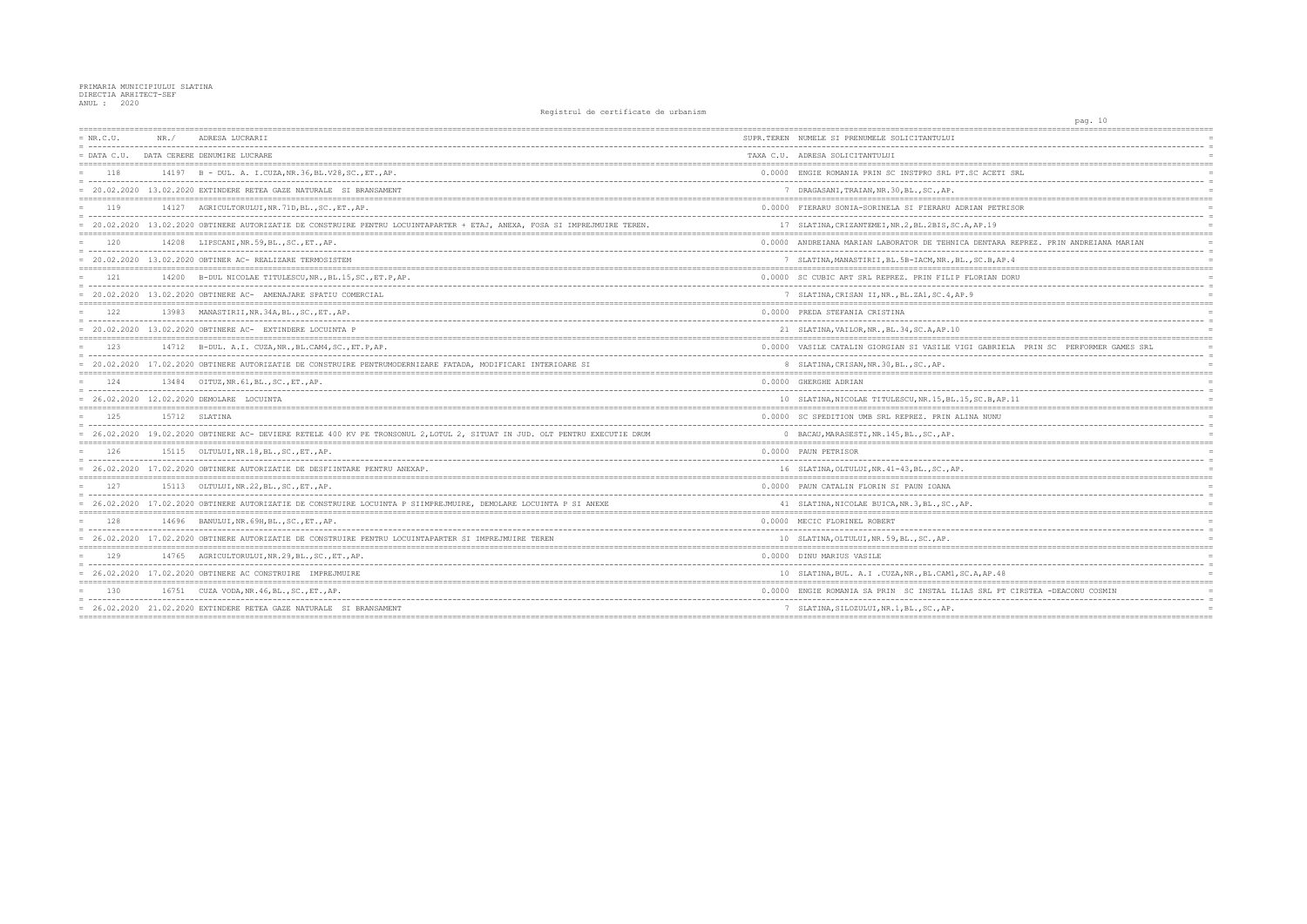| $= NR.C.U.$     | NR. / | ADRESA LUCRARII                                                                                                             | SUPR.TEREN NUMELE SI PRENUMELE SOLICITANTULUI          |
|-----------------|-------|-----------------------------------------------------------------------------------------------------------------------------|--------------------------------------------------------|
| $=$ DATA $C.U.$ |       | DATA CERERE DENUMIRE LUCRARE                                                                                                | TAXA C.U. ADRESA SOLICITANTULUI                        |
| 118             |       | 14197 B - DUL. A. I.CUZA, NR. 36, BL. V28, SC., ET., AP.                                                                    | 0.0000 ENGIE ROMANIA PRIN SC INSTPRO SRL PT.SC AO      |
|                 |       | = 20.02.2020 13.02.2020 EXTINDERE RETEA GAZE NATURALE SI BRANSAMENT                                                         | 7 DRAGASANI, TRAIAN, NR. 30, BL., SC., AP.             |
| 119             |       | 14127 AGRICULTORULUI, NR. 71D, BL., SC., ET., AP.                                                                           | 0.0000 FIERARU SONIA-SORINELA SI FIERARU ADRIAN B      |
|                 |       | = 20.02.2020 13.02.2020 OBTINERE AUTORIZATIE DE CONSTRUIRE PENTRU LOCUINTAPARTER + ETAJ, ANEXA, FOSA SI IMPREJMUIRE TEREN.  | 17 SLATINA, CRIZANTEMEI, NR. 2, BL. 2BIS, SC. A, AP. 1 |
| 120             |       | 14208 LIPSCANI, NR.59, BL., SC., ET., AP.                                                                                   | 0.0000 ANDREIANA MARIAN LABORATOR DE TEHNICA DENT      |
|                 |       | $= 20.02.2020$ 13.02.2020 OBTINER AC-REALIZARE TERMOSISTEM                                                                  | 7 SLATINA, MANASTIRII, BL. 5B-IACM, NR., BL., SC.E     |
| 121             |       | 14200 B-DUL NICOLAE TITULESCU, NR., BL.15, SC., ET.P, AP.                                                                   | 0.0000 SC CUBIC ART SRL REPREZ. PRIN FILIP FLORIA      |
|                 |       | = 20.02.2020 13.02.2020 OBTINERE AC- AMENAJARE SPATIU COMERCIAL                                                             | 7 SLATINA, CRISAN II, NR., BL.ZA1, SC. 4, AP. 9        |
| 122             |       | 13983 MANASTIRII, NR. 34A, BL., SC., ET., AP.                                                                               | 0.0000 PREDA STEFANIA CRISTINA                         |
|                 |       | $= 20.02.2020$ 13.02.2020 OBTINERE AC- EXTINDERE LOCUINTA P                                                                 | 21 SLATINA, VAILOR, NR., BL. 34, SC.A, AP. 10          |
| 123             |       | 14712 B-DUL. A.I. CUZA, NR., BL. CAM4, SC., ET. P, AP.                                                                      | 0.0000 VASILE CATALIN GIORGIAN SI VASILE VIGI GAE      |
|                 |       | = 20.02.2020 17.02.2020 OBTINERE AUTORIZATIE DE CONSTRUIRE PENTRUMODERNIZARE FATADA, MODIFICARI INTERIOARE SI               | 8 SLATINA, CRISAN, NR. 30, BL., SC., AP.               |
| 124             |       | 13484 OITUZ, NR. 61, BL., SC., ET., AP.                                                                                     | 0.0000 GHERGHE ADRIAN                                  |
|                 |       | = 26.02.2020 12.02.2020 DEMOLARE LOCUINTA                                                                                   | 10 SLATINA, NICOLAE TITULESCU, NR. 15, BL. 15, SC. E   |
| 125             |       | 15712 SLATINA                                                                                                               | 0.0000 SC SPEDITION UMB SRL REPREZ. PRIN ALINA NU      |
|                 |       | = 26.02.2020 19.02.2020 OBTINERE AC- DEVIERE RETELE 400 KV PE TRONSONUL 2, LOTUL 2, SITUAT IN JUD. OLT PENTRU EXECUTIE DRUM | 0 BACAU, MARASESTI, NR. 145, BL., SC., AP.             |
| 126             |       | 15115 OLTULUI, NR.18, BL., SC., ET., AP.                                                                                    | 0.0000 PAUN PETRISOR                                   |
|                 |       | = 26.02.2020 17.02.2020 OBTINERE AUTORIZATIE DE DESFIINTARE PENTRU ANEXAP.                                                  | 16 SLATINA, OLTULUI, NR. 41-43, BL., SC., AP.          |
| 127             |       | 15113 OLTULUI, NR.22, BL., SC., ET., AP.                                                                                    | 0.0000 PAUN CATALIN FLORIN SI PAUN IOANA               |
|                 |       | = 26.02.2020 17.02.2020 OBTINERE AUTORIZATIE DE CONSTRUIRE LOCUINTA P SIIMPREJMUIRE, DEMOLARE LOCUINTA P SI ANEXE           | 41 SLATINA, NICOLAE BUICA, NR. 3, BL., SC., AP.        |
| 128             |       | 14696 BANULUI, NR. 69H, BL., SC., ET., AP.                                                                                  | 0.0000 MECIC FLORINEL ROBERT                           |
|                 |       | = 26.02.2020 17.02.2020 OBTINERE AUTORIZATIE DE CONSTRUIRE PENTRU LOCUINTAPARTER SI IMPREJMUIRE TEREN                       | 10 SLATINA, OLTULUI, NR. 59, BL., SC., AP.             |
| 129             |       | 14765 AGRICULTORULUI, NR. 29, BL., SC., ET., AP.                                                                            | 0.0000 DINU MARIUS VASILE                              |
|                 |       | = 26.02.2020 17.02.2020 OBTINERE AC CONSTRUIRE IMPREJMUIRE                                                                  | 10 SLATINA, BUL. A.I.CUZA, NR., BL.CAM1, SC.A, AE      |
| 1.30            |       | 16751 CUZA VODA, NR. 46, BL., SC., ET., AP.                                                                                 | 0.0000 ENGIE ROMANIA SA PRIN SC INSTAL ILIAS SRI       |
|                 |       | = 26.02.2020 21.02.2020 EXTINDERE RETEA GAZE NATURALE SI BRANSAMENT                                                         | 7 SLATINA, SILOZULUI, NR.1, BL., SC., AP.              |
|                 |       |                                                                                                                             |                                                        |

| 10<br>pag.                                                                         |  |
|------------------------------------------------------------------------------------|--|
| $=$                                                                                |  |
| $=$                                                                                |  |
| $=$                                                                                |  |
| $=$                                                                                |  |
| ACETI SRL<br>$\equiv$                                                              |  |
| $=$                                                                                |  |
| ---------                                                                          |  |
| J PETRISOR<br>$=$<br>-----------<br>$=$                                            |  |
| .19<br>$=$                                                                         |  |
| $=$                                                                                |  |
| NTARA REPREZ. PRIN ANDREIANA MARIAN<br>------------------------------------<br>$=$ |  |
| B, AP.4<br>$=$                                                                     |  |
| ========<br><b>IAN DORU</b>                                                        |  |
| $=$                                                                                |  |
| $=$                                                                                |  |
| $=$                                                                                |  |
|                                                                                    |  |
| $=$                                                                                |  |
| $=$                                                                                |  |
| ABRIELA PRIN SC PERFORMER GAMES SRL<br>$\equiv$                                    |  |
| $=$                                                                                |  |
| ==========<br>$=$                                                                  |  |
| . _ _ _ _ _ _ _ _ _ _ .<br>$=$                                                     |  |
| .B, AP.11<br>$=$                                                                   |  |
| <b>NUNU</b><br>$=$                                                                 |  |
|                                                                                    |  |
| $=$                                                                                |  |
| $=$                                                                                |  |
| $=$                                                                                |  |
|                                                                                    |  |
| $=$                                                                                |  |
| $\equiv$                                                                           |  |
| $=$<br>;=======                                                                    |  |
| $=$                                                                                |  |
| $=$                                                                                |  |
| $=$                                                                                |  |
| $=$                                                                                |  |
| $=$                                                                                |  |
| AP.48<br>$=$                                                                       |  |
| RL PT CIRSTEA -DEACONU COSMIN<br>$=$                                               |  |
|                                                                                    |  |
| $=$                                                                                |  |
|                                                                                    |  |